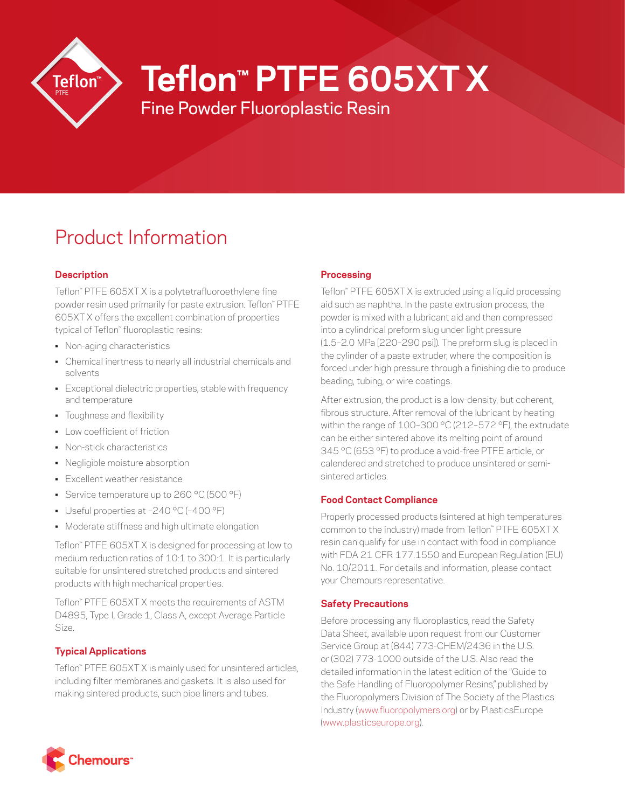

# **Teflon™ PTFE 605XT X**

Fine Powder Fluoroplastic Resin

# Product Information

# **Description**

Teflon™ PTFE 605XT X is a polytetrafluoroethylene fine powder resin used primarily for paste extrusion. Teflon™ PTFE 605XT X offers the excellent combination of properties typical of Teflon™ fluoroplastic resins:

- Non-aging characteristics
- Chemical inertness to nearly all industrial chemicals and solvents
- Exceptional dielectric properties, stable with frequency and temperature
- Toughness and flexibility
- Low coefficient of friction
- Non-stick characteristics
- Negligible moisture absorption
- Excellent weather resistance
- Service temperature up to 260 °C (500 °F)
- Useful properties at –240 °C (–400 °F)
- Moderate stiffness and high ultimate elongation

Teflon™ PTFE 605XT X is designed for processing at low to medium reduction ratios of 10:1 to 300:1. It is particularly suitable for unsintered stretched products and sintered products with high mechanical properties.

Teflon™ PTFE 605XT X meets the requirements of ASTM D4895, Type I, Grade 1, Class A, except Average Particle Size.

# **Typical Applications**

Teflon™ PTFE 605XT X is mainly used for unsintered articles, including filter membranes and gaskets. It is also used for making sintered products, such pipe liners and tubes.

# **Processing**

Teflon™ PTFE 605XT X is extruded using a liquid processing aid such as naphtha. In the paste extrusion process, the powder is mixed with a lubricant aid and then compressed into a cylindrical preform slug under light pressure (1.5–2.0 MPa [220–290 psi]). The preform slug is placed in the cylinder of a paste extruder, where the composition is forced under high pressure through a finishing die to produce beading, tubing, or wire coatings.

After extrusion, the product is a low-density, but coherent, fibrous structure. After removal of the lubricant by heating within the range of 100–300 °C (212–572 °F), the extrudate can be either sintered above its melting point of around 345 °C (653 °F) to produce a void-free PTFE article, or calendered and stretched to produce unsintered or semisintered articles.

# **Food Contact Compliance**

Properly processed products (sintered at high temperatures common to the industry) made from Teflon™ PTFE 605XT X resin can qualify for use in contact with food in compliance with FDA 21 CFR 177.1550 and European Regulation (EU) No. 10/2011. For details and information, please contact your Chemours representative.

### **Safety Precautions**

Before processing any fluoroplastics, read the Safety Data Sheet, available upon request from our Customer Service Group at (844) 773-CHEM/2436 in the U.S. or (302) 773-1000 outside of the U.S. Also read the detailed information in the latest edition of the "Guide to the Safe Handling of Fluoropolymer Resins," published by the Fluoropolymers Division of The Society of the Plastics Industry ([www.fluoropolymers.org](http://www.fluoropolymers.org)) or by PlasticsEurope [\(www.plasticseurope.org](http://www.plasticseurope.org)).